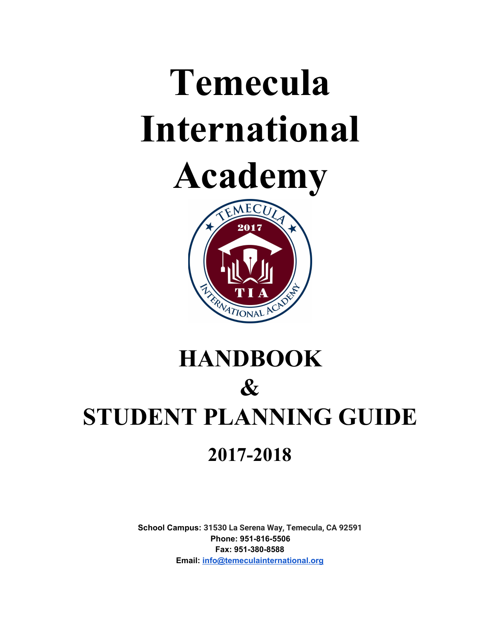# **Temecula International**





# **HANDBOOK & STUDENT PLANNING GUIDE 2017-2018**

**School Campus: 31530 La Serena Way, Temecula, CA 92591 Phone: 951-816-5506 Fax: 951-380-8588 Email: [info@temeculainternational.org](mailto:info@temeculainternational.org)**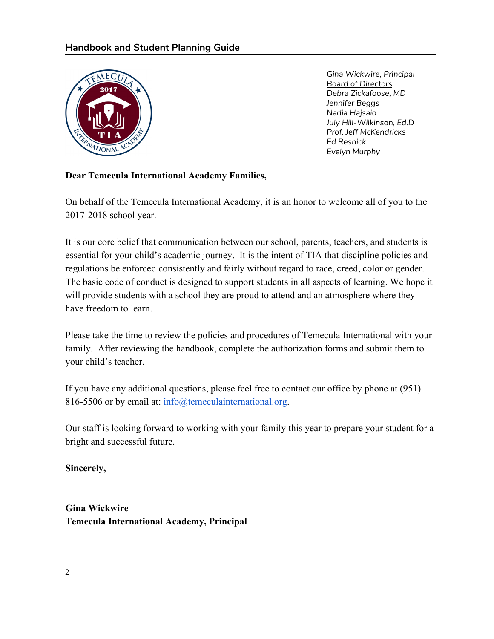

*Gina Wickwire, Principal Board of Directors Debra Zickafoose, MD Jennifer Beggs Nadia Hajsaid July Hill-Wilkinson, Ed.D Prof. Jeff McKendricks Ed Resnick Evelyn Murphy*

#### **Dear Temecula International Academy Families,**

On behalf of the Temecula International Academy, it is an honor to welcome all of you to the 2017-2018 school year.

It is our core belief that communication between our school, parents, teachers, and students is essential for your child's academic journey. It is the intent of TIA that discipline policies and regulations be enforced consistently and fairly without regard to race, creed, color or gender. The basic code of conduct is designed to support students in all aspects of learning. We hope it will provide students with a school they are proud to attend and an atmosphere where they have freedom to learn.

Please take the time to review the policies and procedures of Temecula International with your family. After reviewing the handbook, complete the authorization forms and submit them to your child's teacher.

If you have any additional questions, please feel free to contact our office by phone at (951) 816-5506 or by email at: [info@temeculainternational.org.](mailto:infor@temeculainternational.org)

Our staff is looking forward to working with your family this year to prepare your student for a bright and successful future.

**Sincerely,**

**Gina Wickwire Temecula International Academy, Principal**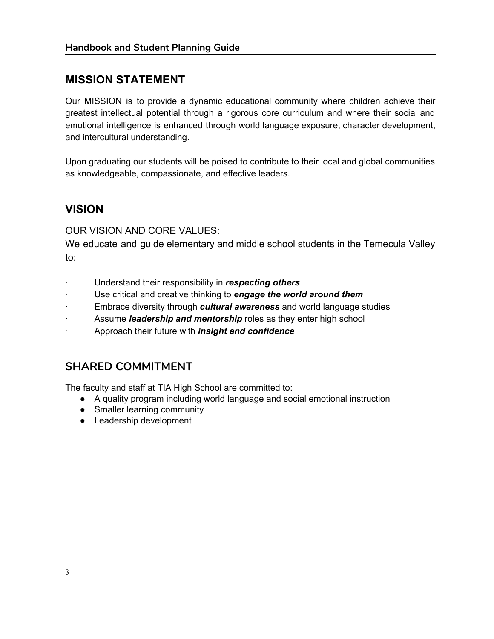# **MISSION STATEMENT**

Our MISSION is to provide a dynamic educational community where children achieve their greatest intellectual potential through a rigorous core curriculum and where their social and emotional intelligence is enhanced through world language exposure, character development, and intercultural understanding.

Upon graduating our students will be poised to contribute to their local and global communities as knowledgeable, compassionate, and effective leaders.

# **VISION**

OUR VISION AND CORE VALUES:

We educate and guide elementary and middle school students in the Temecula Valley to:

- · Understand their responsibility in *respecting others*
- · Use critical and creative thinking to *engage the world around them*
- · Embrace diversity through *cultural awareness* and world language studies
- Assume *leadership and mentorship* roles as they enter high school
- · Approach their future with *insight and confidence*

## **SHARED COMMITMENT**

The faculty and staff at TIA High School are committed to:

- A quality program including world language and social emotional instruction
- Smaller learning community
- Leadership development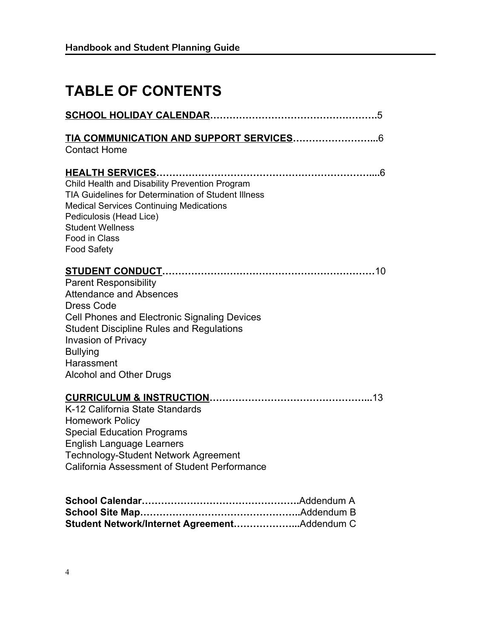# **TABLE OF CONTENTS**

| <b>Contact Home</b>                                                                                                                                                                                                                                                                            |
|------------------------------------------------------------------------------------------------------------------------------------------------------------------------------------------------------------------------------------------------------------------------------------------------|
| Child Health and Disability Prevention Program<br>TIA Guidelines for Determination of Student Illness<br><b>Medical Services Continuing Medications</b><br>Pediculosis (Head Lice)<br><b>Student Wellness</b><br>Food in Class<br><b>Food Safety</b>                                           |
| <b>Parent Responsibility</b><br><b>Attendance and Absences</b><br><b>Dress Code</b><br><b>Cell Phones and Electronic Signaling Devices</b><br><b>Student Discipline Rules and Regulations</b><br><b>Invasion of Privacy</b><br><b>Bullying</b><br>Harassment<br><b>Alcohol and Other Drugs</b> |
| K-12 California State Standards<br><b>Homework Policy</b><br><b>Special Education Programs</b><br><b>English Language Learners</b><br><b>Technology-Student Network Agreement</b><br>California Assessment of Student Performance                                                              |
| Student Network/Internet AgreementAddendum C                                                                                                                                                                                                                                                   |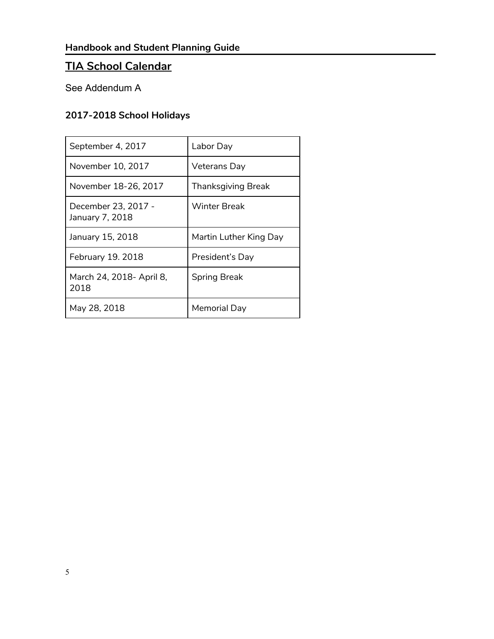# **TIA School Calendar**

# See Addendum A

#### **2017-2018 School Holidays**

| September 4, 2017                      | Labor Day              |
|----------------------------------------|------------------------|
| November 10, 2017                      | Veterans Day           |
| November 18-26, 2017                   | Thanksgiving Break     |
| December 23, 2017 -<br>January 7, 2018 | Winter Break           |
| January 15, 2018                       | Martin Luther King Day |
| February 19. 2018                      | President's Day        |
| March 24, 2018- April 8,<br>2018       | <b>Spring Break</b>    |
| May 28, 2018                           | Memorial Day           |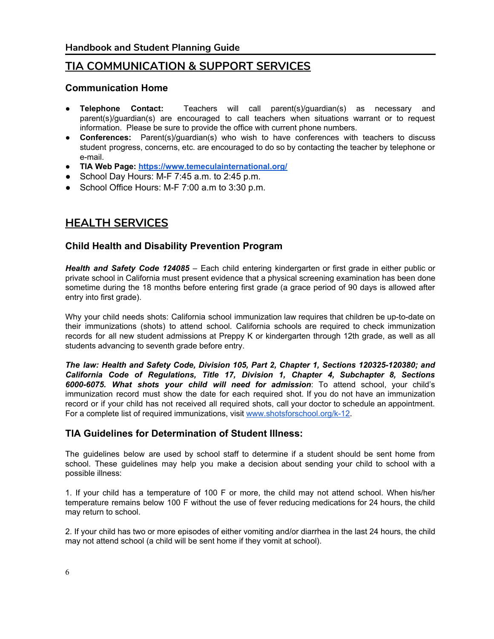#### **TIA COMMUNICATION & SUPPORT SERVICES**

#### **Communication Home**

- **Telephone Contact:** Teachers will call parent(s)/guardian(s) as necessary and parent(s)/guardian(s) are encouraged to call teachers when situations warrant or to request information. Please be sure to provide the office with current phone numbers.
- **Conferences:** Parent(s)/guardian(s) who wish to have conferences with teachers to discuss student progress, concerns, etc. are encouraged to do so by contacting the teacher by telephone or e-mail.
- **TIA Web Page: <https://www.temeculainternational.org/>**
- School Day Hours: M-F 7:45 a.m. to 2:45 p.m.
- School Office Hours: M-F 7:00 a.m to 3:30 p.m.

# **HEALTH SERVICES**

#### **Child Health and Disability Prevention Program**

*Health and Safety Code 124085* – Each child entering kindergarten or first grade in either public or private school in California must present evidence that a physical screening examination has been done sometime during the 18 months before entering first grade (a grace period of 90 days is allowed after entry into first grade).

Why your child needs shots: California school immunization law requires that children be up-to-date on their immunizations (shots) to attend school. California schools are required to check immunization records for all new student admissions at Preppy K or kindergarten through 12th grade, as well as all students advancing to seventh grade before entry.

*The law: Health and Safety Code, Division 105, Part 2, Chapter 1, Sections 120325-120380; and California Code of Regulations, Title 17, Division 1, Chapter 4, Subchapter 8, Sections 6000-6075. What shots your child will need for admission*: To attend school, your child's immunization record must show the date for each required shot. If you do not have an immunization record or if your child has not received all required shots, call your doctor to schedule an appointment. For a complete list of required immunizations, visit [www.shotsforschool.org/k-12.](http://www.shotsforschool.org/k-12)

#### **TIA Guidelines for Determination of Student Illness:**

The guidelines below are used by school staff to determine if a student should be sent home from school. These guidelines may help you make a decision about sending your child to school with a possible illness:

1. If your child has a temperature of 100 F or more, the child may not attend school. When his/her temperature remains below 100 F without the use of fever reducing medications for 24 hours, the child may return to school.

2. If your child has two or more episodes of either vomiting and/or diarrhea in the last 24 hours, the child may not attend school (a child will be sent home if they vomit at school).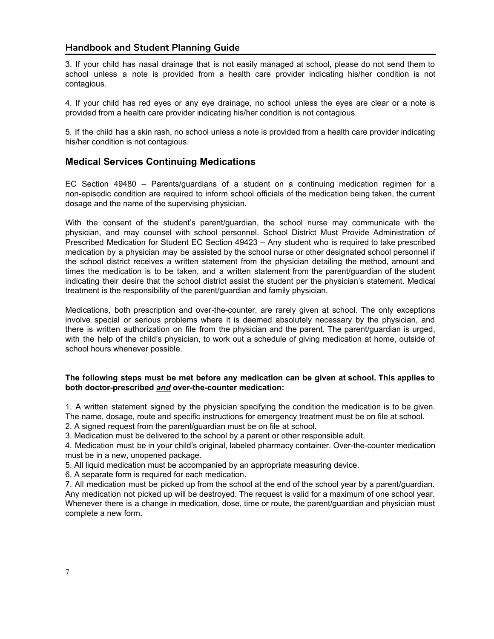3. If your child has nasal drainage that is not easily managed at school, please do not send them to school unless a note is provided from a health care provider indicating his/her condition is not contagious.

4. If your child has red eyes or any eye drainage, no school unless the eyes are clear or a note is provided from a health care provider indicating his/her condition is not contagious.

5. If the child has a skin rash, no school unless a note is provided from a health care provider indicating his/her condition is not contagious.

#### **Medical Services Continuing Medications**

EC Section 49480 – Parents/guardians of a student on a continuing medication regimen for a non-episodic condition are required to inform school officials of the medication being taken, the current dosage and the name of the supervising physician.

With the consent of the student's parent/guardian, the school nurse may communicate with the physician, and may counsel with school personnel. School District Must Provide Administration of Prescribed Medication for Student EC Section 49423 – Any student who is required to take prescribed medication by a physician may be assisted by the school nurse or other designated school personnel if the school district receives a written statement from the physician detailing the method, amount and times the medication is to be taken, and a written statement from the parent/guardian of the student indicating their desire that the school district assist the student per the physician's statement. Medical treatment is the responsibility of the parent/guardian and family physician.

Medications, both prescription and over-the-counter, are rarely given at school. The only exceptions involve special or serious problems where it is deemed absolutely necessary by the physician, and there is written authorization on file from the physician and the parent. The parent/guardian is urged, with the help of the child's physician, to work out a schedule of giving medication at home, outside of school hours whenever possible.

#### **The following steps must be met before any medication can be given at school. This applies to both doctor-prescribed** *and* **o ver-the-counter medication:**

1. A written statement signed by the physician specifying the condition the medication is to be given. The name, dosage, route and specific instructions for emergency treatment must be on file at school.

2. A signed request from the parent/guardian must be on file at school.

3. Medication must be delivered to the school by a parent or other responsible adult.

4. Medication must be in your child's original, labeled pharmacy container. Over-the-counter medication must be in a new, unopened package.

5. All liquid medication must be accompanied by an appropriate measuring device.

6. A separate form is required for each medication.

7. All medication must be picked up from the school at the end of the school year by a parent/guardian. Any medication not picked up will be destroyed. The request is valid for a maximum of one school year. Whenever there is a change in medication, dose, time or route, the parent/guardian and physician must complete a new form.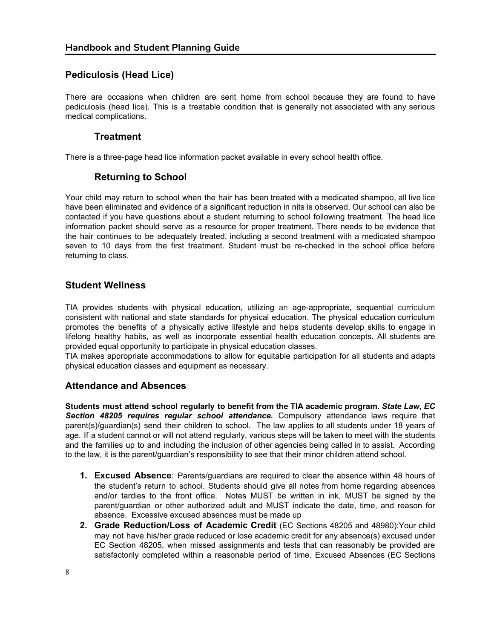#### **Pediculosis (Head Lice)**

There are occasions when children are sent home from school because they are found to have pediculosis (head lice). This is a treatable condition that is generally not associated with any serious medical complications.

#### **Treatment**

There is a three-page head lice information packet available in every school health office.

#### **Returning to School**

Your child may return to school when the hair has been treated with a medicated shampoo, all live lice have been eliminated and evidence of a significant reduction in nits is observed. Our school can also be contacted if you have questions about a student returning to school following treatment. The head lice information packet should serve as a resource for proper treatment. There needs to be evidence that the hair continues to be adequately treated, including a second treatment with a medicated shampoo seven to 10 days from the first treatment. Student must be re-checked in the school office before returning to class.

#### **Student Wellness**

TIA provides students with physical education, utilizing an age-appropriate, sequential curriculum consistent with national and state standards for physical education. The physical education curriculum promotes the benefits of a physically active lifestyle and helps students develop skills to engage in lifelong healthy habits, as well as incorporate essential health education concepts. All students are provided equal opportunity to participate in physical education classes.

TIA makes appropriate accommodations to allow for equitable participation for all students and adapts physical education classes and equipment as necessary.

#### **Attendance and Absences**

**Students must attend school regularly to benefit from the TIA academic program.** *State Law, EC Section 48205 requires regular school attendance.* Compulsory attendance laws require that parent(s)/guardian(s) send their children to school. The law applies to all students under 18 years of age. If a student cannot or will not attend regularly, various steps will be taken to meet with the students and the families up to and including the inclusion of other agencies being called in to assist. According to the law, it is the parent/guardian's responsibility to see that their minor children attend school.

- **1. Excused Absence**: Parents/guardians are required to clear the absence within 48 hours of the student's return to school. Students should give all notes from home regarding absences and/or tardies to the front office. Notes MUST be written in ink, MUST be signed by the parent/guardian or other authorized adult and MUST indicate the date, time, and reason for absence. Excessive excused absences must be made up
- **2. Grade Reduction/Loss of Academic Credit** (EC Sections 48205 and 48980):Your child may not have his/her grade reduced or lose academic credit for any absence(s) excused under EC Section 48205, when missed assignments and tests that can reasonably be provided are satisfactorily completed within a reasonable period of time. Excused Absences (EC Sections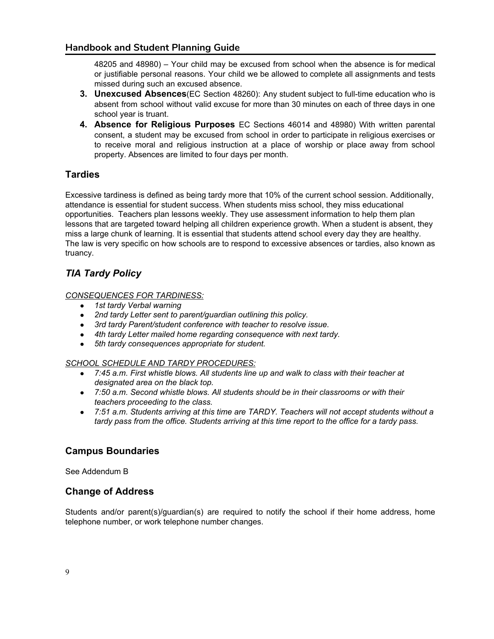48205 and 48980) – Your child may be excused from school when the absence is for medical or justifiable personal reasons. Your child we be allowed to complete all assignments and tests missed during such an excused absence.

- **3. Unexcused Absences**(EC Section 48260): Any student subject to full-time education who is absent from school without valid excuse for more than 30 minutes on each of three days in one school year is truant.
- **4. Absence for Religious Purposes** EC Sections <sup>46014</sup> and 48980) With written parental consent, a student may be excused from school in order to participate in religious exercises or to receive moral and religious instruction at a place of worship or place away from school property. Absences are limited to four days per month.

#### **Tardies**

Excessive tardiness is defined as being tardy more that 10% of the current school session. Additionally, attendance is essential for student success. When students miss school, they miss educational opportunities. Teachers plan lessons weekly. They use assessment information to help them plan lessons that are targeted toward helping all children experience growth. When a student is absent, they miss a large chunk of learning. It is essential that students attend school every day they are healthy. The law is very specific on how schools are to respond to excessive absences or tardies, also known as truancy.

#### *TIA Tardy Policy*

#### *CONSEQUENCES FOR TARDINESS:*

- *● 1st tardy Verbal warning*
- *● 2nd tardy Letter sent to parent/guardian outlining this policy.*
- *● 3rd tardy Parent/student conference with teacher to resolve issue.*
- *● 4th tardy Letter mailed home regarding consequence with next tardy.*
- *● 5th tardy consequences appropriate for student.*

#### *SCHOOL SCHEDULE AND TARDY PROCEDURES:*

- *● 7:45 a.m. First whistle blows. All students line up and walk to class with their teacher at designated area on the black top.*
- *● 7:50 a.m. Second whistle blows. All students should be in their classrooms or with their teachers proceeding to the class.*
- *● 7:51 a.m. Students arriving at this time are TARDY. Teachers will not accept students without a tardy pass from the office. Students arriving at this time report to the office for a tardy pass.*

#### **Campus Boundaries**

See Addendum B

#### **Change of Address**

Students and/or parent(s)/guardian(s) are required to notify the school if their home address, home telephone number, or work telephone number changes.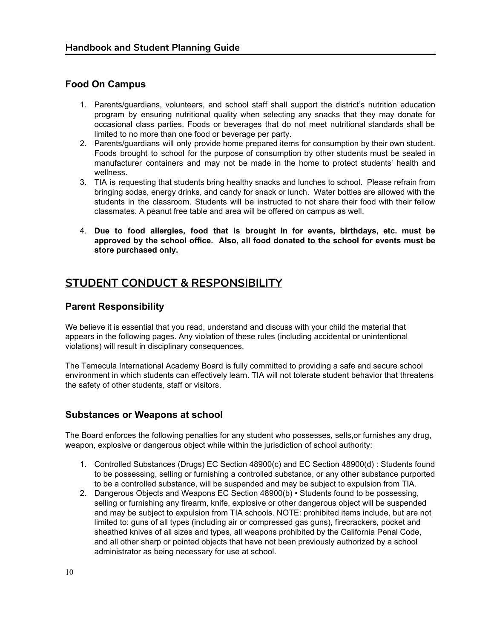#### **Food On Campus**

- 1. Parents/guardians, volunteers, and school staff shall support the district's nutrition education program by ensuring nutritional quality when selecting any snacks that they may donate for occasional class parties. Foods or beverages that do not meet nutritional standards shall be limited to no more than one food or beverage per party.
- 2. Parents/guardians will only provide home prepared items for consumption by their own student. Foods brought to school for the purpose of consumption by other students must be sealed in manufacturer containers and may not be made in the home to protect students' health and wellness.
- 3. TIA is requesting that students bring healthy snacks and lunches to school. Please refrain from bringing sodas, energy drinks, and candy for snack or lunch. Water bottles are allowed with the students in the classroom. Students will be instructed to not share their food with their fellow classmates. A peanut free table and area will be offered on campus as well.
- 4. **Due to food allergies, food that is brought in for events, birthdays, etc. must be approved by the school office. Also, all food donated to the school for events must be store purchased only.**

## **STUDENT CONDUCT & RESPONSIBILITY**

#### **Parent Responsibility**

We believe it is essential that you read, understand and discuss with your child the material that appears in the following pages. Any violation of these rules (including accidental or unintentional violations) will result in disciplinary consequences.

The Temecula International Academy Board is fully committed to providing a safe and secure school environment in which students can effectively learn. TIA will not tolerate student behavior that threatens the safety of other students, staff or visitors.

#### **Substances or Weapons at school**

The Board enforces the following penalties for any student who possesses, sells,or furnishes any drug, weapon, explosive or dangerous object while within the jurisdiction of school authority:

- 1. Controlled Substances (Drugs) EC Section 48900(c) and EC Section 48900(d) : Students found to be possessing, selling or furnishing a controlled substance, or any other substance purported to be a controlled substance, will be suspended and may be subject to expulsion from TIA.
- 2. Dangerous Objects and Weapons EC Section 48900(b) Students found to be possessing, selling or furnishing any firearm, knife, explosive or other dangerous object will be suspended and may be subject to expulsion from TIA schools. NOTE: prohibited items include, but are not limited to: guns of all types (including air or compressed gas guns), firecrackers, pocket and sheathed knives of all sizes and types, all weapons prohibited by the California Penal Code, and all other sharp or pointed objects that have not been previously authorized by a school administrator as being necessary for use at school.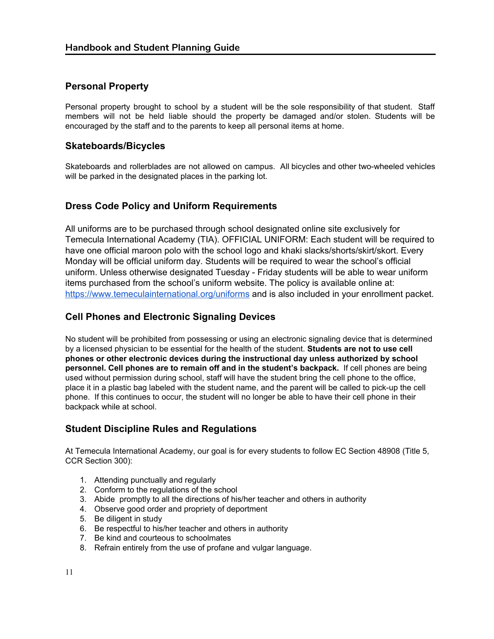#### **Personal Property**

Personal property brought to school by a student will be the sole responsibility of that student. Staff members will not be held liable should the property be damaged and/or stolen. Students will be encouraged by the staff and to the parents to keep all personal items at home.

#### **Skateboards/Bicycles**

Skateboards and rollerblades are not allowed on campus. All bicycles and other two-wheeled vehicles will be parked in the designated places in the parking lot.

#### **Dress Code Policy and Uniform Requirements**

All uniforms are to be purchased through school designated online site exclusively for Temecula International Academy (TIA). OFFICIAL UNIFORM: Each student will be required to have one official maroon polo with the school logo and khaki slacks/shorts/skirt/skort. Every Monday will be official uniform day. Students will be required to wear the school's official uniform. Unless otherwise designated Tuesday - Friday students will be able to wear uniform items purchased from the school's uniform website. The policy is available online at: <https://www.temeculainternational.org/uniforms> and is also included in your enrollment packet.

#### **Cell Phones and Electronic Signaling Devices**

No student will be prohibited from possessing or using an electronic signaling device that is determined by a licensed physician to be essential for the health of the student. **Students are not to use cell phones or other electronic devices during the instructional day unless authorized by school personnel. Cell phones are to remain off and in the student's backpack.** If cell phones are being used without permission during school, staff will have the student bring the cell phone to the office, place it in a plastic bag labeled with the student name, and the parent will be called to pick-up the cell phone. If this continues to occur, the student will no longer be able to have their cell phone in their backpack while at school.

#### **Student Discipline Rules and Regulations**

At Temecula International Academy, our goal is for every students to follow EC Section 48908 (Title 5, CCR Section 300):

- 1. Attending punctually and regularly
- 2. Conform to the regulations of the school
- 3. Abide promptly to all the directions of his/her teacher and others in authority
- 4. Observe good order and propriety of deportment
- 5. Be diligent in study
- 6. Be respectful to his/her teacher and others in authority
- 7. Be kind and courteous to schoolmates
- 8. Refrain entirely from the use of profane and vulgar language.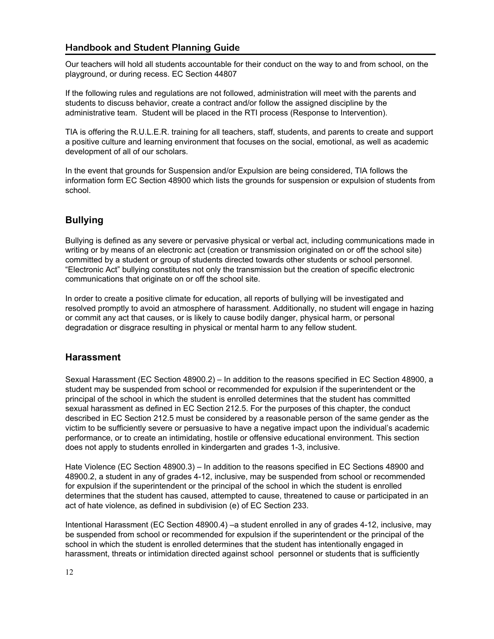Our teachers will hold all students accountable for their conduct on the way to and from school, on the playground, or during recess. EC Section 44807

If the following rules and regulations are not followed, administration will meet with the parents and students to discuss behavior, create a contract and/or follow the assigned discipline by the administrative team. Student will be placed in the RTI process (Response to Intervention).

TIA is offering the R.U.L.E.R. training for all teachers, staff, students, and parents to create and support a positive culture and learning environment that focuses on the social, emotional, as well as academic development of all of our scholars.

In the event that grounds for Suspension and/or Expulsion are being considered, TIA follows the information form EC Section 48900 which lists the grounds for suspension or expulsion of students from school.

#### **Bullying**

Bullying is defined as any severe or pervasive physical or verbal act, including communications made in writing or by means of an electronic act (creation or transmission originated on or off the school site) committed by a student or group of students directed towards other students or school personnel. "Electronic Act" bullying constitutes not only the transmission but the creation of specific electronic communications that originate on or off the school site.

In order to create a positive climate for education, all reports of bullying will be investigated and resolved promptly to avoid an atmosphere of harassment. Additionally, no student will engage in hazing or commit any act that causes, or is likely to cause bodily danger, physical harm, or personal degradation or disgrace resulting in physical or mental harm to any fellow student.

#### **Harassment**

Sexual Harassment (EC Section 48900.2) – In addition to the reasons specified in EC Section 48900, a student may be suspended from school or recommended for expulsion if the superintendent or the principal of the school in which the student is enrolled determines that the student has committed sexual harassment as defined in EC Section 212.5. For the purposes of this chapter, the conduct described in EC Section 212.5 must be considered by a reasonable person of the same gender as the victim to be sufficiently severe or persuasive to have a negative impact upon the individual's academic performance, or to create an intimidating, hostile or offensive educational environment. This section does not apply to students enrolled in kindergarten and grades 1-3, inclusive.

Hate Violence (EC Section 48900.3) – In addition to the reasons specified in EC Sections 48900 and 48900.2, a student in any of grades 4-12, inclusive, may be suspended from school or recommended for expulsion if the superintendent or the principal of the school in which the student is enrolled determines that the student has caused, attempted to cause, threatened to cause or participated in an act of hate violence, as defined in subdivision (e) of EC Section 233.

Intentional Harassment (EC Section 48900.4) –a student enrolled in any of grades 4-12, inclusive, may be suspended from school or recommended for expulsion if the superintendent or the principal of the school in which the student is enrolled determines that the student has intentionally engaged in harassment, threats or intimidation directed against school personnel or students that is sufficiently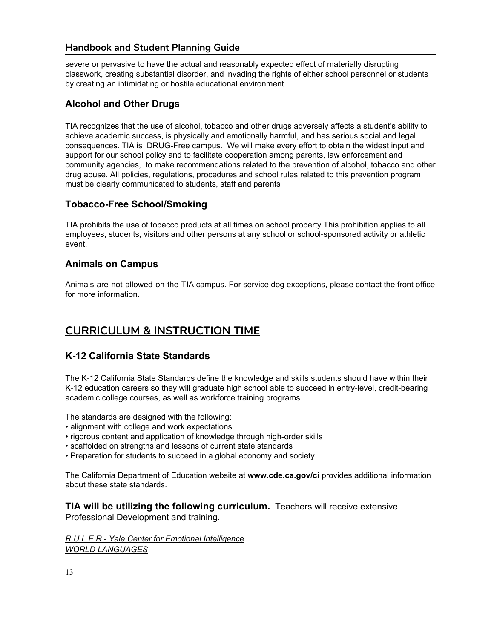severe or pervasive to have the actual and reasonably expected effect of materially disrupting classwork, creating substantial disorder, and invading the rights of either school personnel or students by creating an intimidating or hostile educational environment.

#### **Alcohol and Other Drugs**

TIA recognizes that the use of alcohol, tobacco and other drugs adversely affects a student's ability to achieve academic success, is physically and emotionally harmful, and has serious social and legal consequences. TIA is DRUG-Free campus. We will make every effort to obtain the widest input and support for our school policy and to facilitate cooperation among parents, law enforcement and community agencies, to make recommendations related to the prevention of alcohol, tobacco and other drug abuse. All policies, regulations, procedures and school rules related to this prevention program must be clearly communicated to students, staff and parents

#### **Tobacco-Free School/Smoking**

TIA prohibits the use of tobacco products at all times on school property This prohibition applies to all employees, students, visitors and other persons at any school or school-sponsored activity or athletic event.

#### **Animals on Campus**

Animals are not allowed on the TIA campus. For service dog exceptions, please contact the front office for more information.

# **CURRICULUM & INSTRUCTION TIME**

#### **K-12 California State Standards**

The K-12 California State Standards define the knowledge and skills students should have within their K-12 education careers so they will graduate high school able to succeed in entry-level, credit-bearing academic college courses, as well as workforce training programs.

The standards are designed with the following:

- alignment with college and work expectations
- rigorous content and application of knowledge through high-order skills
- scaffolded on strengths and lessons of current state standards
- Preparation for students to succeed in a global economy and society

The California Department of Education website at **www.cde.ca.gov/ci** provides additional information about these state standards.

**TIA will be utilizing the following curriculum.** Teachers will receive extensive Professional Development and training.

*R.U.L.E.R - Yale Center for Emotional [Intelligence](http://ei.yale.edu/ruler/ruler-overview/) WORLD [LANGUAGES](http://www.cde.ca.gov/be/st/ss/documents/worldlanguage2009.pdf)*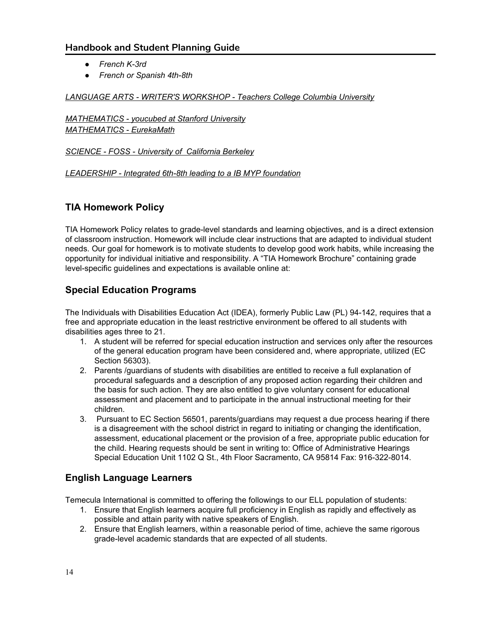- *● French K-3rd*
- *● French or Spanish 4th-8th*

#### *LANGUAGE ARTS - WRITER'S [WORKSHOP](http://readingandwritingproject.org/) - Teachers College Columbia University*

*[MATHEMATICS](https://www.youcubed.org/) - youcubed at Stanford University [MATHEMATICS](https://greatminds.org/math) - EurekaMath*

#### *[SCIENCE](http://www.fossweb.com/what-is-foss) - FOSS - University of California Berkeley*

*[LEADERSHIP](http://www.ibo.org/programmes/middle-years-programme/what-is-the-myp/) - Integrated 6th-8th leading to a IB MYP foundation*

#### **TIA Homework Policy**

TIA Homework Policy relates to grade-level standards and learning objectives, and is a direct extension of classroom instruction. Homework will include clear instructions that are adapted to individual student needs. Our goal for homework is to motivate students to develop good work habits, while increasing the opportunity for individual initiative and responsibility. A "TIA Homework Brochure" containing grade level-specific guidelines and expectations is available online at:

#### **Special Education Programs**

The Individuals with Disabilities Education Act (IDEA), formerly Public Law (PL) 94-142, requires that a free and appropriate education in the least restrictive environment be offered to all students with disabilities ages three to 21.

- 1. A student will be referred for special education instruction and services only after the resources of the general education program have been considered and, where appropriate, utilized (EC Section 56303).
- 2. Parents /guardians of students with disabilities are entitled to receive a full explanation of procedural safeguards and a description of any proposed action regarding their children and the basis for such action. They are also entitled to give voluntary consent for educational assessment and placement and to participate in the annual instructional meeting for their children.
- 3. Pursuant to EC Section 56501, parents/guardians may request a due process hearing if there is a disagreement with the school district in regard to initiating or changing the identification, assessment, educational placement or the provision of a free, appropriate public education for the child. Hearing requests should be sent in writing to: Office of Administrative Hearings Special Education Unit 1102 Q St., 4th Floor Sacramento, CA 95814 Fax: 916-322-8014.

#### **English Language Learners**

Temecula International is committed to offering the followings to our ELL population of students:

- 1. Ensure that English learners acquire full proficiency in English as rapidly and effectively as possible and attain parity with native speakers of English.
- 2. Ensure that English learners, within a reasonable period of time, achieve the same rigorous grade-level academic standards that are expected of all students.